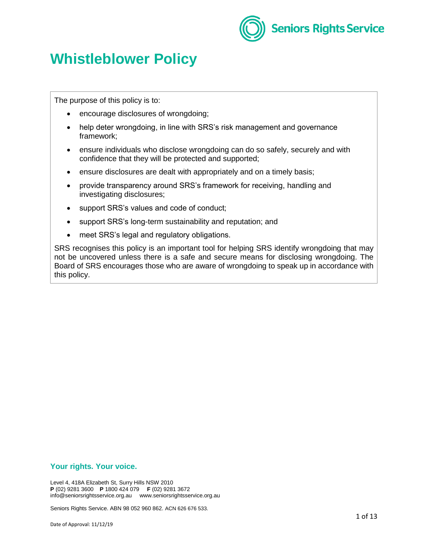

# **Whistleblower Policy**

The purpose of this policy is to:

- encourage disclosures of wrongdoing;
- help deter wrongdoing, in line with SRS's risk management and governance framework;
- ensure individuals who disclose wrongdoing can do so safely, securely and with confidence that they will be protected and supported;
- ensure disclosures are dealt with appropriately and on a timely basis;
- provide transparency around SRS's framework for receiving, handling and investigating disclosures;
- support SRS's values and code of conduct;
- support SRS's long-term sustainability and reputation; and
- meet SRS's legal and regulatory obligations.

SRS recognises this policy is an important tool for helping SRS identify wrongdoing that may not be uncovered unless there is a safe and secure means for disclosing wrongdoing. The Board of SRS encourages those who are aware of wrongdoing to speak up in accordance with this policy.

#### **Your rights. Your voice.**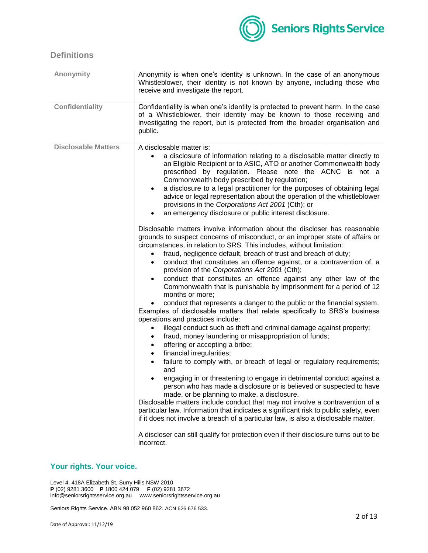

# **Definitions**

| <b>Anonymity</b>           | Anonymity is when one's identity is unknown. In the case of an anonymous<br>Whistleblower, their identity is not known by anyone, including those who<br>receive and investigate the report.                                                                                                                                                                                                                                                                                                                                                                                                                                                                                                                                                                                                                                                                                                                                                                                                                                                                                                                                                                                                                                                                                                                                                                                                                                                                                                                                                                                                                                                                                                                                                                                                                                                                                                                                                                                                                                                                                                                               |
|----------------------------|----------------------------------------------------------------------------------------------------------------------------------------------------------------------------------------------------------------------------------------------------------------------------------------------------------------------------------------------------------------------------------------------------------------------------------------------------------------------------------------------------------------------------------------------------------------------------------------------------------------------------------------------------------------------------------------------------------------------------------------------------------------------------------------------------------------------------------------------------------------------------------------------------------------------------------------------------------------------------------------------------------------------------------------------------------------------------------------------------------------------------------------------------------------------------------------------------------------------------------------------------------------------------------------------------------------------------------------------------------------------------------------------------------------------------------------------------------------------------------------------------------------------------------------------------------------------------------------------------------------------------------------------------------------------------------------------------------------------------------------------------------------------------------------------------------------------------------------------------------------------------------------------------------------------------------------------------------------------------------------------------------------------------------------------------------------------------------------------------------------------------|
| <b>Confidentiality</b>     | Confidentiality is when one's identity is protected to prevent harm. In the case<br>of a Whistleblower, their identity may be known to those receiving and<br>investigating the report, but is protected from the broader organisation and<br>public.                                                                                                                                                                                                                                                                                                                                                                                                                                                                                                                                                                                                                                                                                                                                                                                                                                                                                                                                                                                                                                                                                                                                                                                                                                                                                                                                                                                                                                                                                                                                                                                                                                                                                                                                                                                                                                                                      |
| <b>Disclosable Matters</b> | A disclosable matter is:<br>a disclosure of information relating to a disclosable matter directly to<br>an Eligible Recipient or to ASIC, ATO or another Commonwealth body<br>prescribed by regulation. Please note the ACNC is not a<br>Commonwealth body prescribed by regulation;<br>a disclosure to a legal practitioner for the purposes of obtaining legal<br>$\bullet$<br>advice or legal representation about the operation of the whistleblower<br>provisions in the Corporations Act 2001 (Cth); or<br>an emergency disclosure or public interest disclosure.<br>$\bullet$<br>Disclosable matters involve information about the discloser has reasonable<br>grounds to suspect concerns of misconduct, or an improper state of affairs or<br>circumstances, in relation to SRS. This includes, without limitation:<br>fraud, negligence default, breach of trust and breach of duty;<br>conduct that constitutes an offence against, or a contravention of, a<br>$\bullet$<br>provision of the Corporations Act 2001 (Cth);<br>conduct that constitutes an offence against any other law of the<br>Commonwealth that is punishable by imprisonment for a period of 12<br>months or more;<br>conduct that represents a danger to the public or the financial system.<br>Examples of disclosable matters that relate specifically to SRS's business<br>operations and practices include:<br>illegal conduct such as theft and criminal damage against property;<br>$\bullet$<br>fraud, money laundering or misappropriation of funds;<br>$\bullet$<br>offering or accepting a bribe;<br>$\bullet$<br>financial irregularities;<br>$\bullet$<br>failure to comply with, or breach of legal or regulatory requirements;<br>$\bullet$<br>and<br>engaging in or threatening to engage in detrimental conduct against a<br>person who has made a disclosure or is believed or suspected to have<br>made, or be planning to make, a disclosure.<br>Disclosable matters include conduct that may not involve a contravention of a<br>particular law. Information that indicates a significant risk to public safety, even |
|                            | if it does not involve a breach of a particular law, is also a disclosable matter.<br>A discloser can still qualify for protection even if their disclosure turns out to be<br>incorrect.                                                                                                                                                                                                                                                                                                                                                                                                                                                                                                                                                                                                                                                                                                                                                                                                                                                                                                                                                                                                                                                                                                                                                                                                                                                                                                                                                                                                                                                                                                                                                                                                                                                                                                                                                                                                                                                                                                                                  |

# **Your rights. Your voice.**

Level 4, 418A Elizabeth St, Surry Hills NSW 2010 **P** (02) 9281 3600 **P** 1800 424 079 **F** (02) 9281 3672 info@seniorsrightsservice.org.au www.seniorsrightsservice.org.au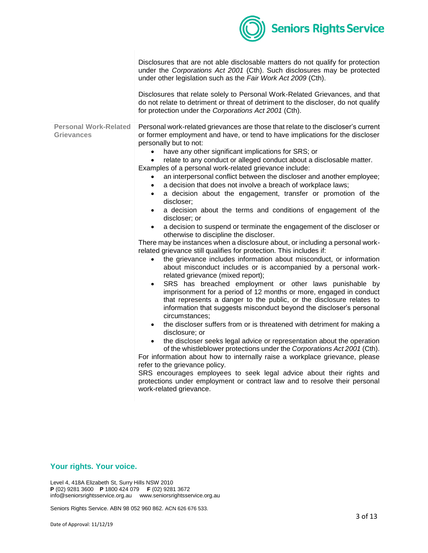

|                                                   | Disclosures that are not able disclosable matters do not qualify for protection<br>under the Corporations Act 2001 (Cth). Such disclosures may be protected<br>under other legislation such as the Fair Work Act 2009 (Cth).<br>Disclosures that relate solely to Personal Work-Related Grievances, and that<br>do not relate to detriment or threat of detriment to the discloser, do not qualify                                                                                                                                                                                                                                                                                                                                                                                                                                                                                                                                                                                                                                                                                                                                                                                                                                                                                                                                                                                                                                                                                                                                                                                                                                                                                                                                                                                                                                                                                                                                                                                                                                                                                              |
|---------------------------------------------------|-------------------------------------------------------------------------------------------------------------------------------------------------------------------------------------------------------------------------------------------------------------------------------------------------------------------------------------------------------------------------------------------------------------------------------------------------------------------------------------------------------------------------------------------------------------------------------------------------------------------------------------------------------------------------------------------------------------------------------------------------------------------------------------------------------------------------------------------------------------------------------------------------------------------------------------------------------------------------------------------------------------------------------------------------------------------------------------------------------------------------------------------------------------------------------------------------------------------------------------------------------------------------------------------------------------------------------------------------------------------------------------------------------------------------------------------------------------------------------------------------------------------------------------------------------------------------------------------------------------------------------------------------------------------------------------------------------------------------------------------------------------------------------------------------------------------------------------------------------------------------------------------------------------------------------------------------------------------------------------------------------------------------------------------------------------------------------------------------|
|                                                   | for protection under the Corporations Act 2001 (Cth).                                                                                                                                                                                                                                                                                                                                                                                                                                                                                                                                                                                                                                                                                                                                                                                                                                                                                                                                                                                                                                                                                                                                                                                                                                                                                                                                                                                                                                                                                                                                                                                                                                                                                                                                                                                                                                                                                                                                                                                                                                           |
| <b>Personal Work-Related</b><br><b>Grievances</b> | Personal work-related grievances are those that relate to the discloser's current<br>or former employment and have, or tend to have implications for the discloser<br>personally but to not:<br>have any other significant implications for SRS; or<br>$\bullet$<br>relate to any conduct or alleged conduct about a disclosable matter.<br>$\bullet$<br>Examples of a personal work-related grievance include:<br>an interpersonal conflict between the discloser and another employee;<br>a decision that does not involve a breach of workplace laws;<br>$\bullet$<br>a decision about the engagement, transfer or promotion of the<br>$\bullet$<br>discloser;<br>a decision about the terms and conditions of engagement of the<br>discloser; or<br>a decision to suspend or terminate the engagement of the discloser or<br>otherwise to discipline the discloser.<br>There may be instances when a disclosure about, or including a personal work-<br>related grievance still qualifies for protection. This includes if:<br>the grievance includes information about misconduct, or information<br>$\bullet$<br>about misconduct includes or is accompanied by a personal work-<br>related grievance (mixed report);<br>SRS has breached employment or other laws punishable by<br>imprisonment for a period of 12 months or more, engaged in conduct<br>that represents a danger to the public, or the disclosure relates to<br>information that suggests misconduct beyond the discloser's personal<br>circumstances;<br>the discloser suffers from or is threatened with detriment for making a<br>$\bullet$<br>disclosure; or<br>the discloser seeks legal advice or representation about the operation<br>of the whistleblower protections under the Corporations Act 2001 (Cth).<br>For information about how to internally raise a workplace grievance, please<br>refer to the grievance policy.<br>SRS encourages employees to seek legal advice about their rights and<br>protections under employment or contract law and to resolve their personal<br>work-related grievance. |

# **Your rights. Your voice.**

Level 4, 418A Elizabeth St, Surry Hills NSW 2010 **P** (02) 9281 3600 **P** 1800 424 079 **F** (02) 9281 3672 info@seniorsrightsservice.org.au www.seniorsrightsservice.org.au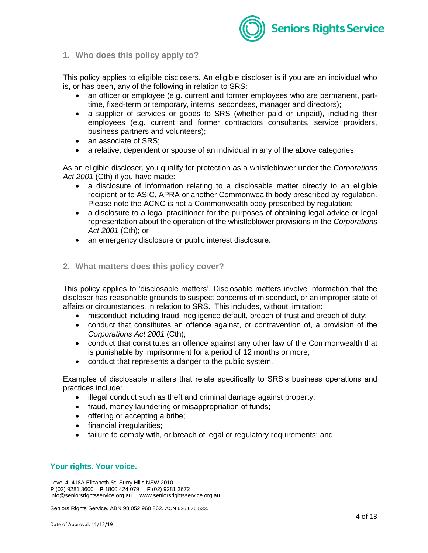

#### **1. Who does this policy apply to?**

This policy applies to eligible disclosers. An eligible discloser is if you are an individual who is, or has been, any of the following in relation to SRS:

- an officer or employee (e.g. current and former employees who are permanent, parttime, fixed-term or temporary, interns, secondees, manager and directors);
- a supplier of services or goods to SRS (whether paid or unpaid), including their employees (e.g. current and former contractors consultants, service providers, business partners and volunteers);
- an associate of SRS;
- a relative, dependent or spouse of an individual in any of the above categories.

As an eligible discloser, you qualify for protection as a whistleblower under the *Corporations Act 2001* (Cth) if you have made:

- a disclosure of information relating to a disclosable matter directly to an eligible recipient or to ASIC, APRA or another Commonwealth body prescribed by regulation. Please note the ACNC is not a Commonwealth body prescribed by regulation;
- a disclosure to a legal practitioner for the purposes of obtaining legal advice or legal representation about the operation of the whistleblower provisions in the *Corporations Act 2001* (Cth); or
- an emergency disclosure or public interest disclosure.
- **2. What matters does this policy cover?**

This policy applies to 'disclosable matters'. Disclosable matters involve information that the discloser has reasonable grounds to suspect concerns of misconduct, or an improper state of affairs or circumstances, in relation to SRS. This includes, without limitation:

- misconduct including fraud, negligence default, breach of trust and breach of duty;
- conduct that constitutes an offence against, or contravention of, a provision of the *Corporations Act 2001* (Cth);
- conduct that constitutes an offence against any other law of the Commonwealth that is punishable by imprisonment for a period of 12 months or more;
- conduct that represents a danger to the public system.

Examples of disclosable matters that relate specifically to SRS's business operations and practices include:

- illegal conduct such as theft and criminal damage against property;
- fraud, money laundering or misappropriation of funds;
- offering or accepting a bribe;
- financial irregularities;
- failure to comply with, or breach of legal or regulatory requirements; and

## **Your rights. Your voice.**

Level 4, 418A Elizabeth St, Surry Hills NSW 2010 **P** (02) 9281 3600 **P** 1800 424 079 **F** (02) 9281 3672 info@seniorsrightsservice.org.au www.seniorsrightsservice.org.au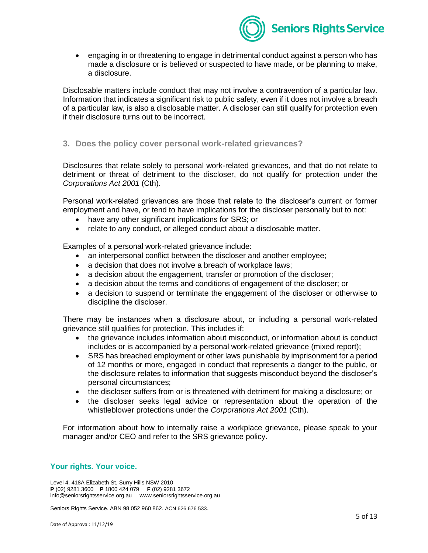

 engaging in or threatening to engage in detrimental conduct against a person who has made a disclosure or is believed or suspected to have made, or be planning to make, a disclosure.

Disclosable matters include conduct that may not involve a contravention of a particular law. Information that indicates a significant risk to public safety, even if it does not involve a breach of a particular law, is also a disclosable matter. A discloser can still qualify for protection even if their disclosure turns out to be incorrect.

**3. Does the policy cover personal work-related grievances?**

Disclosures that relate solely to personal work-related grievances, and that do not relate to detriment or threat of detriment to the discloser, do not qualify for protection under the *Corporations Act 2001* (Cth).

Personal work-related grievances are those that relate to the discloser's current or former employment and have, or tend to have implications for the discloser personally but to not:

- have any other significant implications for SRS; or
- relate to any conduct, or alleged conduct about a disclosable matter.

Examples of a personal work-related grievance include:

- an interpersonal conflict between the discloser and another employee;
- a decision that does not involve a breach of workplace laws;
- a decision about the engagement, transfer or promotion of the discloser;
- a decision about the terms and conditions of engagement of the discloser; or
- a decision to suspend or terminate the engagement of the discloser or otherwise to discipline the discloser.

There may be instances when a disclosure about, or including a personal work-related grievance still qualifies for protection. This includes if:

- the grievance includes information about misconduct, or information about is conduct includes or is accompanied by a personal work-related grievance (mixed report);
- SRS has breached employment or other laws punishable by imprisonment for a period of 12 months or more, engaged in conduct that represents a danger to the public, or the disclosure relates to information that suggests misconduct beyond the discloser's personal circumstances;
- the discloser suffers from or is threatened with detriment for making a disclosure; or
- the discloser seeks legal advice or representation about the operation of the whistleblower protections under the *Corporations Act 2001* (Cth).

For information about how to internally raise a workplace grievance, please speak to your manager and/or CEO and refer to the SRS grievance policy.

## **Your rights. Your voice.**

Level 4, 418A Elizabeth St, Surry Hills NSW 2010 **P** (02) 9281 3600 **P** 1800 424 079 **F** (02) 9281 3672 info@seniorsrightsservice.org.au www.seniorsrightsservice.org.au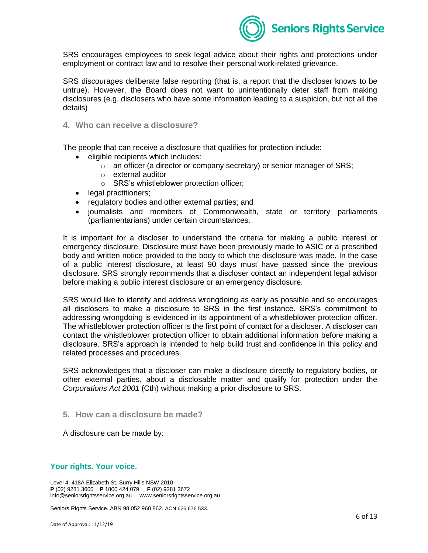

SRS encourages employees to seek legal advice about their rights and protections under employment or contract law and to resolve their personal work-related grievance.

SRS discourages deliberate false reporting (that is, a report that the discloser knows to be untrue). However, the Board does not want to unintentionally deter staff from making disclosures (e.g. disclosers who have some information leading to a suspicion, but not all the details)

**4. Who can receive a disclosure?**

The people that can receive a disclosure that qualifies for protection include:

- eligible recipients which includes:
	- $\circ$  an officer (a director or company secretary) or senior manager of SRS;
	- o external auditor
	- o SRS's whistleblower protection officer;
- legal practitioners:
- regulatory bodies and other external parties; and
- journalists and members of Commonwealth, state or territory parliaments (parliamentarians) under certain circumstances.

It is important for a discloser to understand the criteria for making a public interest or emergency disclosure. Disclosure must have been previously made to ASIC or a prescribed body and written notice provided to the body to which the disclosure was made. In the case of a public interest disclosure, at least 90 days must have passed since the previous disclosure. SRS strongly recommends that a discloser contact an independent legal advisor before making a public interest disclosure or an emergency disclosure.

SRS would like to identify and address wrongdoing as early as possible and so encourages all disclosers to make a disclosure to SRS in the first instance. SRS's commitment to addressing wrongdoing is evidenced in its appointment of a whistleblower protection officer. The whistleblower protection officer is the first point of contact for a discloser. A discloser can contact the whistleblower protection officer to obtain additional information before making a disclosure. SRS's approach is intended to help build trust and confidence in this policy and related processes and procedures.

SRS acknowledges that a discloser can make a disclosure directly to regulatory bodies, or other external parties, about a disclosable matter and qualify for protection under the *Corporations Act 2001* (Cth) without making a prior disclosure to SRS.

**5. How can a disclosure be made?**

A disclosure can be made by:

#### **Your rights. Your voice.**

Level 4, 418A Elizabeth St, Surry Hills NSW 2010 **P** (02) 9281 3600 **P** 1800 424 079 **F** (02) 9281 3672 info@seniorsrightsservice.org.au www.seniorsrightsservice.org.au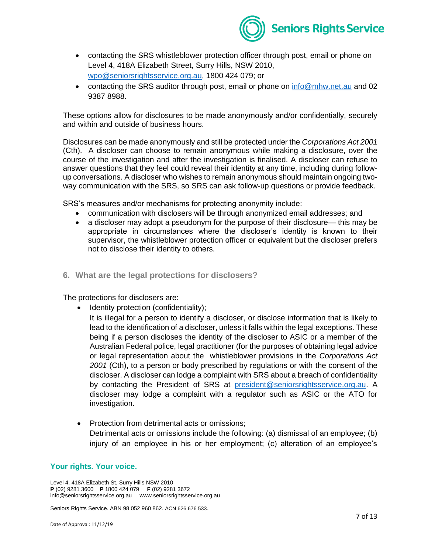

- contacting the SRS whistleblower protection officer through post, email or phone on Level 4, 418A Elizabeth Street, Surry Hills, NSW 2010, [wpo@seniorsrightsservice.org.au,](mailto:info@seniorsrightsservice.org.au) 1800 424 079; or
- contacting the SRS auditor through post, email or phone on [info@mhw.net.au](mailto:info@mhw.net.au) and 02 9387 8988.

These options allow for disclosures to be made anonymously and/or confidentially, securely and within and outside of business hours.

Disclosures can be made anonymously and still be protected under the *Corporations Act 2001* (Cth). A discloser can choose to remain anonymous while making a disclosure, over the course of the investigation and after the investigation is finalised. A discloser can refuse to answer questions that they feel could reveal their identity at any time, including during followup conversations. A discloser who wishes to remain anonymous should maintain ongoing twoway communication with the SRS, so SRS can ask follow-up questions or provide feedback.

SRS's measures and/or mechanisms for protecting anonymity include:

- communication with disclosers will be through anonymized email addresses; and
- a discloser may adopt a pseudonym for the purpose of their disclosure— this may be appropriate in circumstances where the discloser's identity is known to their supervisor, the whistleblower protection officer or equivalent but the discloser prefers not to disclose their identity to others.
- **6. What are the legal protections for disclosers?**

The protections for disclosers are:

- Identity protection (confidentiality);
	- It is illegal for a person to identify a discloser, or disclose information that is likely to lead to the identification of a discloser, unless it falls within the legal exceptions. These being if a person discloses the identity of the discloser to ASIC or a member of the Australian Federal police, legal practitioner (for the purposes of obtaining legal advice or legal representation about the whistleblower provisions in the *Corporations Act 2001* (Cth), to a person or body prescribed by regulations or with the consent of the discloser. A discloser can lodge a complaint with SRS about a breach of confidentiality by contacting the President of SRS at [president@seniorsrightsservice.org.au.](mailto:president@seniorsrightsservice.org.au) A discloser may lodge a complaint with a regulator such as ASIC or the ATO for investigation.
- Protection from detrimental acts or omissions; Detrimental acts or omissions include the following: (a) dismissal of an employee; (b) injury of an employee in his or her employment; (c) alteration of an employee's

#### **Your rights. Your voice.**

Level 4, 418A Elizabeth St, Surry Hills NSW 2010 **P** (02) 9281 3600 **P** 1800 424 079 **F** (02) 9281 3672 info@seniorsrightsservice.org.au www.seniorsrightsservice.org.au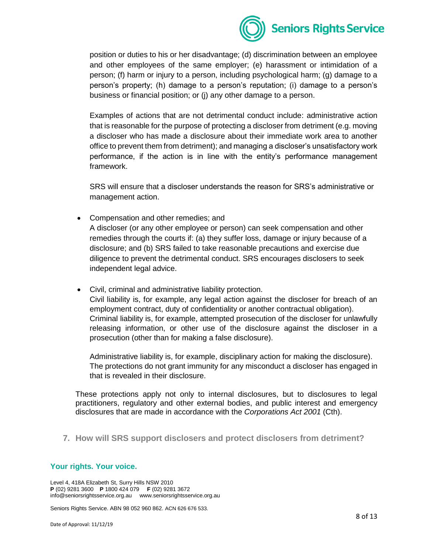

position or duties to his or her disadvantage; (d) discrimination between an employee and other employees of the same employer; (e) harassment or intimidation of a person; (f) harm or injury to a person, including psychological harm; (g) damage to a person's property; (h) damage to a person's reputation; (i) damage to a person's business or financial position; or (j) any other damage to a person.

Examples of actions that are not detrimental conduct include: administrative action that is reasonable for the purpose of protecting a discloser from detriment (e.g. moving a discloser who has made a disclosure about their immediate work area to another office to prevent them from detriment); and managing a discloser's unsatisfactory work performance, if the action is in line with the entity's performance management framework.

SRS will ensure that a discloser understands the reason for SRS's administrative or management action.

- Compensation and other remedies; and A discloser (or any other employee or person) can seek compensation and other remedies through the courts if: (a) they suffer loss, damage or injury because of a disclosure; and (b) SRS failed to take reasonable precautions and exercise due diligence to prevent the detrimental conduct. SRS encourages disclosers to seek independent legal advice.
- Civil, criminal and administrative liability protection. Civil liability is, for example, any legal action against the discloser for breach of an employment contract, duty of confidentiality or another contractual obligation). Criminal liability is, for example, attempted prosecution of the discloser for unlawfully releasing information, or other use of the disclosure against the discloser in a prosecution (other than for making a false disclosure).

Administrative liability is, for example, disciplinary action for making the disclosure). The protections do not grant immunity for any misconduct a discloser has engaged in that is revealed in their disclosure.

These protections apply not only to internal disclosures, but to disclosures to legal practitioners, regulatory and other external bodies, and public interest and emergency disclosures that are made in accordance with the *Corporations Act 2001* (Cth).

**7. How will SRS support disclosers and protect disclosers from detriment?** 

## **Your rights. Your voice.**

Level 4, 418A Elizabeth St, Surry Hills NSW 2010 **P** (02) 9281 3600 **P** 1800 424 079 **F** (02) 9281 3672 info@seniorsrightsservice.org.au www.seniorsrightsservice.org.au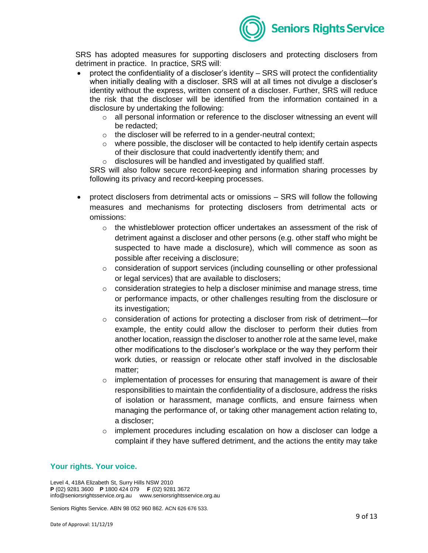

SRS has adopted measures for supporting disclosers and protecting disclosers from detriment in practice. In practice, SRS will:

- protect the confidentiality of a discloser's identity SRS will protect the confidentiality when initially dealing with a discloser. SRS will at all times not divulge a discloser's identity without the express, written consent of a discloser. Further, SRS will reduce the risk that the discloser will be identified from the information contained in a disclosure by undertaking the following:
	- $\circ$  all personal information or reference to the discloser witnessing an event will be redacted;
	- o the discloser will be referred to in a gender-neutral context;
	- $\circ$  where possible, the discloser will be contacted to help identify certain aspects of their disclosure that could inadvertently identify them; and
	- o disclosures will be handled and investigated by qualified staff.

SRS will also follow secure record-keeping and information sharing processes by following its privacy and record-keeping processes.

- protect disclosers from detrimental acts or omissions SRS will follow the following measures and mechanisms for protecting disclosers from detrimental acts or omissions:
	- $\circ$  the whistleblower protection officer undertakes an assessment of the risk of detriment against a discloser and other persons (e.g. other staff who might be suspected to have made a disclosure), which will commence as soon as possible after receiving a disclosure;
	- $\circ$  consideration of support services (including counselling or other professional or legal services) that are available to disclosers;
	- $\circ$  consideration strategies to help a discloser minimise and manage stress, time or performance impacts, or other challenges resulting from the disclosure or its investigation;
	- $\circ$  consideration of actions for protecting a discloser from risk of detriment—for example, the entity could allow the discloser to perform their duties from another location, reassign the discloser to another role at the same level, make other modifications to the discloser's workplace or the way they perform their work duties, or reassign or relocate other staff involved in the disclosable matter;
	- $\circ$  implementation of processes for ensuring that management is aware of their responsibilities to maintain the confidentiality of a disclosure, address the risks of isolation or harassment, manage conflicts, and ensure fairness when managing the performance of, or taking other management action relating to, a discloser;
	- $\circ$  implement procedures including escalation on how a discloser can lodge a complaint if they have suffered detriment, and the actions the entity may take

## **Your rights. Your voice.**

Level 4, 418A Elizabeth St, Surry Hills NSW 2010 **P** (02) 9281 3600 **P** 1800 424 079 **F** (02) 9281 3672 info@seniorsrightsservice.org.au www.seniorsrightsservice.org.au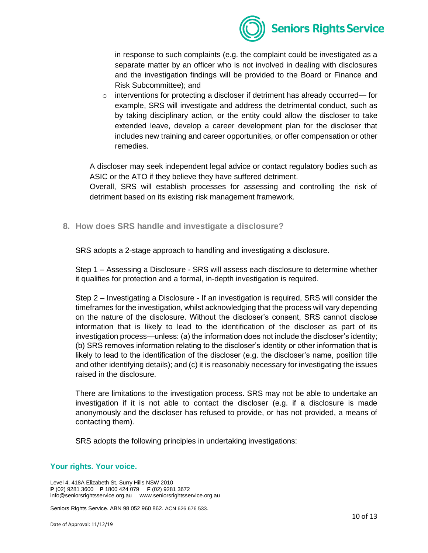

in response to such complaints (e.g. the complaint could be investigated as a separate matter by an officer who is not involved in dealing with disclosures and the investigation findings will be provided to the Board or Finance and Risk Subcommittee); and

o interventions for protecting a discloser if detriment has already occurred— for example, SRS will investigate and address the detrimental conduct, such as by taking disciplinary action, or the entity could allow the discloser to take extended leave, develop a career development plan for the discloser that includes new training and career opportunities, or offer compensation or other remedies.

A discloser may seek independent legal advice or contact regulatory bodies such as ASIC or the ATO if they believe they have suffered detriment.

Overall, SRS will establish processes for assessing and controlling the risk of detriment based on its existing risk management framework.

**8. How does SRS handle and investigate a disclosure?** 

SRS adopts a 2-stage approach to handling and investigating a disclosure.

Step 1 – Assessing a Disclosure - SRS will assess each disclosure to determine whether it qualifies for protection and a formal, in-depth investigation is required.

Step 2 – Investigating a Disclosure - If an investigation is required, SRS will consider the timeframes for the investigation, whilst acknowledging that the process will vary depending on the nature of the disclosure. Without the discloser's consent, SRS cannot disclose information that is likely to lead to the identification of the discloser as part of its investigation process—unless: (a) the information does not include the discloser's identity; (b) SRS removes information relating to the discloser's identity or other information that is likely to lead to the identification of the discloser (e.g. the discloser's name, position title and other identifying details); and (c) it is reasonably necessary for investigating the issues raised in the disclosure.

There are limitations to the investigation process. SRS may not be able to undertake an investigation if it is not able to contact the discloser (e.g. if a disclosure is made anonymously and the discloser has refused to provide, or has not provided, a means of contacting them).

SRS adopts the following principles in undertaking investigations:

## **Your rights. Your voice.**

Level 4, 418A Elizabeth St, Surry Hills NSW 2010 **P** (02) 9281 3600 **P** 1800 424 079 **F** (02) 9281 3672 info@seniorsrightsservice.org.au www.seniorsrightsservice.org.au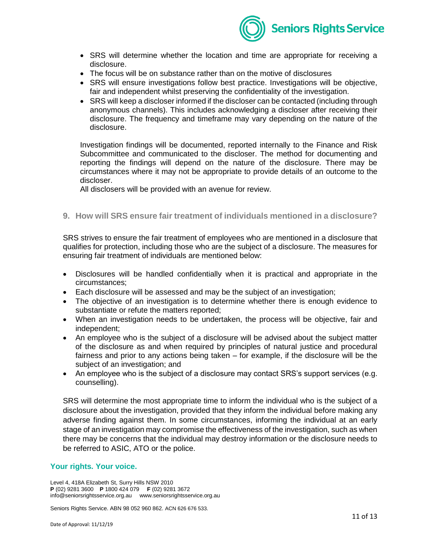

- SRS will determine whether the location and time are appropriate for receiving a disclosure.
- The focus will be on substance rather than on the motive of disclosures
- SRS will ensure investigations follow best practice. Investigations will be objective, fair and independent whilst preserving the confidentiality of the investigation.
- SRS will keep a discloser informed if the discloser can be contacted (including through anonymous channels). This includes acknowledging a discloser after receiving their disclosure. The frequency and timeframe may vary depending on the nature of the disclosure.

Investigation findings will be documented, reported internally to the Finance and Risk Subcommittee and communicated to the discloser. The method for documenting and reporting the findings will depend on the nature of the disclosure. There may be circumstances where it may not be appropriate to provide details of an outcome to the discloser.

All disclosers will be provided with an avenue for review.

**9. How will SRS ensure fair treatment of individuals mentioned in a disclosure?** 

SRS strives to ensure the fair treatment of employees who are mentioned in a disclosure that qualifies for protection, including those who are the subject of a disclosure. The measures for ensuring fair treatment of individuals are mentioned below:

- Disclosures will be handled confidentially when it is practical and appropriate in the circumstances;
- Each disclosure will be assessed and may be the subject of an investigation;
- The objective of an investigation is to determine whether there is enough evidence to substantiate or refute the matters reported;
- When an investigation needs to be undertaken, the process will be objective, fair and independent;
- An employee who is the subject of a disclosure will be advised about the subject matter of the disclosure as and when required by principles of natural justice and procedural fairness and prior to any actions being taken – for example, if the disclosure will be the subject of an investigation; and
- An employee who is the subject of a disclosure may contact SRS's support services (e.g. counselling).

SRS will determine the most appropriate time to inform the individual who is the subject of a disclosure about the investigation, provided that they inform the individual before making any adverse finding against them. In some circumstances, informing the individual at an early stage of an investigation may compromise the effectiveness of the investigation, such as when there may be concerns that the individual may destroy information or the disclosure needs to be referred to ASIC, ATO or the police.

## **Your rights. Your voice.**

Level 4, 418A Elizabeth St, Surry Hills NSW 2010 **P** (02) 9281 3600 **P** 1800 424 079 **F** (02) 9281 3672 info@seniorsrightsservice.org.au www.seniorsrightsservice.org.au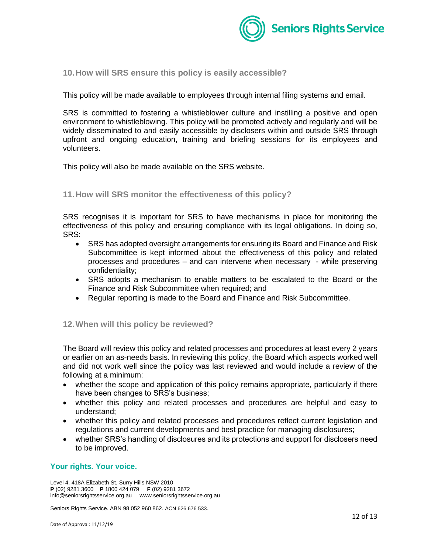

**10.How will SRS ensure this policy is easily accessible?**

This policy will be made available to employees through internal filing systems and email.

SRS is committed to fostering a whistleblower culture and instilling a positive and open environment to whistleblowing. This policy will be promoted actively and regularly and will be widely disseminated to and easily accessible by disclosers within and outside SRS through upfront and ongoing education, training and briefing sessions for its employees and volunteers.

This policy will also be made available on the SRS website.

#### **11.How will SRS monitor the effectiveness of this policy?**

SRS recognises it is important for SRS to have mechanisms in place for monitoring the effectiveness of this policy and ensuring compliance with its legal obligations. In doing so, SRS:

- SRS has adopted oversight arrangements for ensuring its Board and Finance and Risk Subcommittee is kept informed about the effectiveness of this policy and related processes and procedures – and can intervene when necessary - while preserving confidentiality;
- SRS adopts a mechanism to enable matters to be escalated to the Board or the Finance and Risk Subcommittee when required; and
- Regular reporting is made to the Board and Finance and Risk Subcommittee.

#### **12.When will this policy be reviewed?**

The Board will review this policy and related processes and procedures at least every 2 years or earlier on an as-needs basis. In reviewing this policy, the Board which aspects worked well and did not work well since the policy was last reviewed and would include a review of the following at a minimum:

- whether the scope and application of this policy remains appropriate, particularly if there have been changes to SRS's business;
- whether this policy and related processes and procedures are helpful and easy to understand;
- whether this policy and related processes and procedures reflect current legislation and regulations and current developments and best practice for managing disclosures;
- whether SRS's handling of disclosures and its protections and support for disclosers need to be improved.

#### **Your rights. Your voice.**

Level 4, 418A Elizabeth St, Surry Hills NSW 2010 **P** (02) 9281 3600 **P** 1800 424 079 **F** (02) 9281 3672 info@seniorsrightsservice.org.au www.seniorsrightsservice.org.au